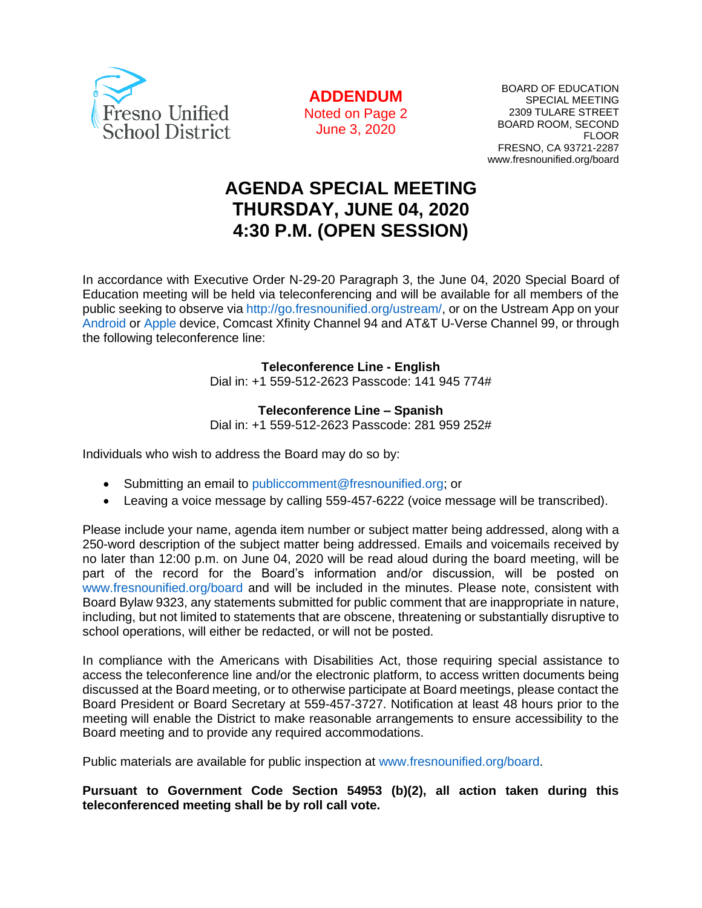

**ADDENDUM** Noted on Page 2 June 3, 2020

BOARD OF EDUCATION SPECIAL MEETING 2309 TULARE STREET BOARD ROOM, SECOND FLOOR FRESNO, CA 93721-2287 www.fresnounified.org/board

# **AGENDA SPECIAL MEETING THURSDAY, JUNE 04, 2020 4:30 P.M. (OPEN SESSION)**

In accordance with Executive Order N-29-20 Paragraph 3, the June 04, 2020 Special Board of Education meeting will be held via teleconferencing and will be available for all members of the public seeking to observe via http://go.fresnounified.org/ustream/, or on the Ustream App on your Android or Apple device, Comcast Xfinity Channel 94 and AT&T U-Verse Channel 99, or through the following teleconference line:

**Teleconference Line - English**

Dial in: +1 559-512-2623 Passcode: 141 945 774#

**Teleconference Line – Spanish**

Dial in: +1 559-512-2623 Passcode: 281 959 252#

Individuals who wish to address the Board may do so by:

- Submitting an email to publiccomment@fresnounified.org; or
- Leaving a voice message by calling 559-457-6222 (voice message will be transcribed).

Please include your name, agenda item number or subject matter being addressed, along with a 250-word description of the subject matter being addressed. Emails and voicemails received by no later than 12:00 p.m. on June 04, 2020 will be read aloud during the board meeting, will be part of the record for the Board's information and/or discussion, will be posted on www.fresnounified.org/board and will be included in the minutes. Please note, consistent with Board Bylaw 9323, any statements submitted for public comment that are inappropriate in nature, including, but not limited to statements that are obscene, threatening or substantially disruptive to school operations, will either be redacted, or will not be posted.

In compliance with the Americans with Disabilities Act, those requiring special assistance to access the teleconference line and/or the electronic platform, to access written documents being discussed at the Board meeting, or to otherwise participate at Board meetings, please contact the Board President or Board Secretary at 559-457-3727. Notification at least 48 hours prior to the meeting will enable the District to make reasonable arrangements to ensure accessibility to the Board meeting and to provide any required accommodations.

Public materials are available for public inspection at www.fresnounified.org/board.

**Pursuant to Government Code Section 54953 (b)(2), all action taken during this teleconferenced meeting shall be by roll call vote.**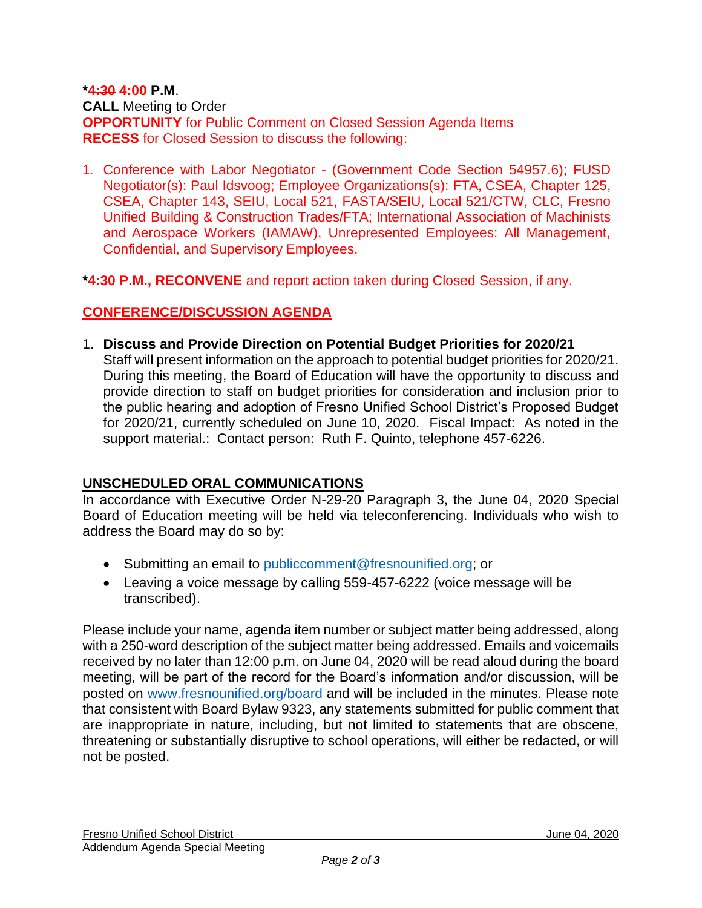#### **\*4:30 4:00 P.M**. **CALL** Meeting to Order **OPPORTUNITY** for Public Comment on Closed Session Agenda Items **RECESS** for Closed Session to discuss the following:

1. Conference with Labor Negotiator - (Government Code Section 54957.6); FUSD Negotiator(s): Paul Idsvoog; Employee Organizations(s): FTA, CSEA, Chapter 125, CSEA, Chapter 143, SEIU, Local 521, FASTA/SEIU, Local 521/CTW, CLC, Fresno Unified Building & Construction Trades/FTA; International Association of Machinists and Aerospace Workers (IAMAW), Unrepresented Employees: All Management, Confidential, and Supervisory Employees.

**\*4:30 P.M., RECONVENE** and report action taken during Closed Session, if any.

#### **CONFERENCE/DISCUSSION AGENDA**

1. **Discuss and Provide Direction on Potential Budget Priorities for 2020/21** Staff will present information on the approach to potential budget priorities for 2020/21. During this meeting, the Board of Education will have the opportunity to discuss and provide direction to staff on budget priorities for consideration and inclusion prior to the public hearing and adoption of Fresno Unified School District's Proposed Budget for 2020/21, currently scheduled on June 10, 2020. Fiscal Impact: As noted in the support material.: Contact person: Ruth F. Quinto, telephone 457-6226.

## **UNSCHEDULED ORAL COMMUNICATIONS**

In accordance with Executive Order N-29-20 Paragraph 3, the June 04, 2020 Special Board of Education meeting will be held via teleconferencing. Individuals who wish to address the Board may do so by:

- Submitting an email to publiccomment@fresnounified.org; or
- Leaving a voice message by calling 559-457-6222 (voice message will be transcribed).

Please include your name, agenda item number or subject matter being addressed, along with a 250-word description of the subject matter being addressed. Emails and voicemails received by no later than 12:00 p.m. on June 04, 2020 will be read aloud during the board meeting, will be part of the record for the Board's information and/or discussion, will be posted on www.fresnounified.org/board and will be included in the minutes. Please note that consistent with Board Bylaw 9323, any statements submitted for public comment that are inappropriate in nature, including, but not limited to statements that are obscene, threatening or substantially disruptive to school operations, will either be redacted, or will not be posted.